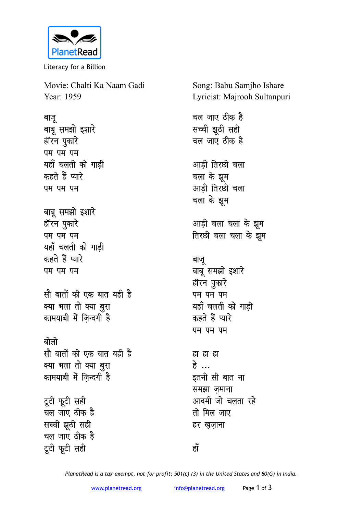

Literacy for a Billion

Movie: Chalti Ka Naam Gadi Year: 1959

बाजू बाबू समझो इशारे हॉरन पुकारे **पम** पम पम यहाँ चलती को गाड<u>ी</u> कहते हैं प्यारे **u** पम पम बाबू समझो इशारे हॉरन पुकारे **पम** पम पम यहाँ चलती को गाड़ी कहते हैं प्यारे **पम** पम पम <u>सौ बातों की एक बात यही है</u> *क्या भला तो क्या बुरा* कामयाबी में जिन्दगी है बोलो <u>सौ बातों की एक बात यही है</u> *क्या भला तो क्या बुरा* कामयाबी में जिन्दगी है टूटी फूटी सही <u>चल जाए ठीक है</u> **सच्ची झुठी सही** <u>चल जाए ठीक है</u> टूटी फूटी सही

Song: Babu Samjho Ishare Lyricist: Majrooh Sultanpuri

चल जाए ठीक ह<del>ै</del> **सच्ची झूठी सही** चल जाए ठीक ह<del>ै</del> आडी तिरछी चला चला के <del>झु</del>म आडी तिरछी चला चला के झूम आड़ी चला चला के झूम **तिरछी चला चला के झूम** बाजू बाबू समझो इशारे हॉरन पुकारे **पम** पम पम यहाँ चलती को गाड<u>ी</u> कहते हैं प्यारे **पम** पम पम **हा हा हे**<br>ड इतनी सी बात ना **समझा** ज़माना आदमी जो चलता रहे <u>तो मिल जाए</u> हर खजाना

*PlanetRead is a tax-exempt, not-for-profit: 501(c) (3) in the United States and 80(G) in India.*

<u>हाँ</u>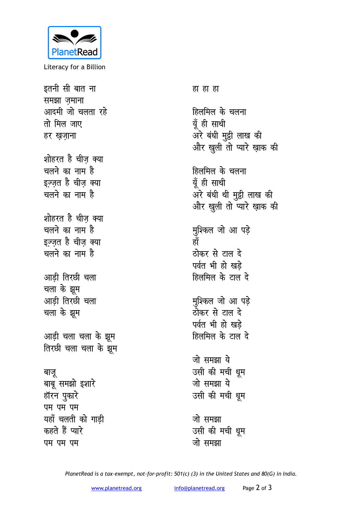

Literacy for a Billion

इतनी सी बात ना समझा ज़माना आदमी जो चलता रहे तो मिल जाए हर खजाना शोहरत है चीज क्या चलने का नाम है इज़्ज़त है चीज़ क्या चलने का नाम है शोहरत है चीज क्या चलने का नाम है इज़्ज़त है चीज़ क्या चलने का नाम है आडी तिरछी चला चला के झूम आडी तिरछी चला चला के झूम आड़ी चला चला के झूम तिरछी चला चला के झूम बाजू बाबू समझो इशारे हॉरन पुकारे पम पम पम यहाँ चलती को गाड़ी कहते हैं प्यारे पम पम पम

हा हा हा

हिलमिल के चलना यूँ ही साथी अरे बंधी मुट्ठी लाख की और खुली तो प्यारे ख़ाक की

हिलमिल के चलना यूँ ही साथी अरे बंधी थी मुट्ठी लाख की और खुली तो प्यारे ख़ाक की

मुश्किल जो आ पड़े<br>हाँ ठोकर से टाल दे पर्वत भी हो खड़े हिलमिल के टाल दे

मुश्किल जो आ पड़े ठोकर से टाल दे पर्वत भी हो खड़े हिलमिल के टाल दे

जो समझा ये उसी की मची धुम जो समझा ये उसी की मची धूम

जो समझा उसी की मची धुम जो समझा

PlanetRead is a tax-exempt, not-for-profit: 501(c) (3) in the United States and 80(G) in India.